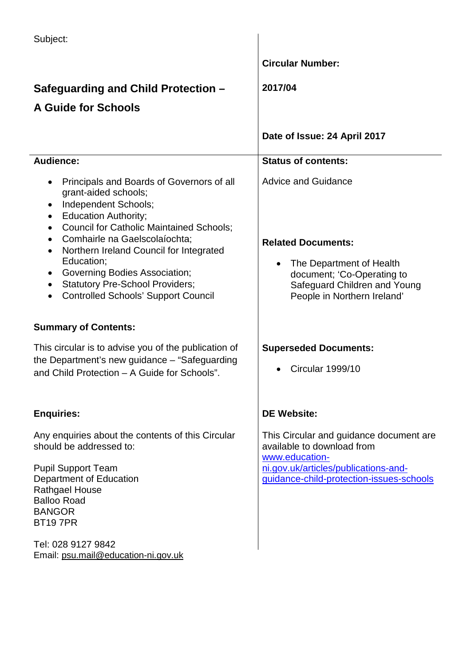| Subject:                                                                                                                                                                                                                                                                                                                                                                                                                                                                                                                        |                                                                                                                                                                                  |
|---------------------------------------------------------------------------------------------------------------------------------------------------------------------------------------------------------------------------------------------------------------------------------------------------------------------------------------------------------------------------------------------------------------------------------------------------------------------------------------------------------------------------------|----------------------------------------------------------------------------------------------------------------------------------------------------------------------------------|
|                                                                                                                                                                                                                                                                                                                                                                                                                                                                                                                                 | <b>Circular Number:</b>                                                                                                                                                          |
| Safeguarding and Child Protection -                                                                                                                                                                                                                                                                                                                                                                                                                                                                                             | 2017/04                                                                                                                                                                          |
| <b>A Guide for Schools</b>                                                                                                                                                                                                                                                                                                                                                                                                                                                                                                      |                                                                                                                                                                                  |
|                                                                                                                                                                                                                                                                                                                                                                                                                                                                                                                                 | Date of Issue: 24 April 2017                                                                                                                                                     |
| <b>Audience:</b>                                                                                                                                                                                                                                                                                                                                                                                                                                                                                                                | <b>Status of contents:</b>                                                                                                                                                       |
| Principals and Boards of Governors of all<br>$\bullet$<br>grant-aided schools;<br>Independent Schools;<br>$\bullet$<br><b>Education Authority;</b><br>$\bullet$<br><b>Council for Catholic Maintained Schools;</b><br>$\bullet$<br>Comhairle na Gaelscolaíochta;<br>$\bullet$<br>Northern Ireland Council for Integrated<br>$\bullet$<br>Education;<br><b>Governing Bodies Association;</b><br><b>Statutory Pre-School Providers;</b><br>$\bullet$<br><b>Controlled Schools' Support Council</b><br><b>Summary of Contents:</b> | <b>Advice and Guidance</b><br><b>Related Documents:</b><br>The Department of Health<br>document; 'Co-Operating to<br>Safeguard Children and Young<br>People in Northern Ireland' |
| This circular is to advise you of the publication of                                                                                                                                                                                                                                                                                                                                                                                                                                                                            | <b>Superseded Documents:</b>                                                                                                                                                     |
| the Department's new guidance - "Safeguarding"<br>and Child Protection – A Guide for Schools".                                                                                                                                                                                                                                                                                                                                                                                                                                  | Circular 1999/10                                                                                                                                                                 |
| <b>Enquiries:</b>                                                                                                                                                                                                                                                                                                                                                                                                                                                                                                               | <b>DE Website:</b>                                                                                                                                                               |
| Any enquiries about the contents of this Circular<br>should be addressed to:                                                                                                                                                                                                                                                                                                                                                                                                                                                    | This Circular and guidance document are<br>available to download from                                                                                                            |
| <b>Pupil Support Team</b><br>Department of Education<br><b>Rathgael House</b><br><b>Balloo Road</b><br><b>BANGOR</b><br><b>BT197PR</b>                                                                                                                                                                                                                                                                                                                                                                                          | www.education-<br>ni.gov.uk/articles/publications-and-<br>guidance-child-protection-issues-schools                                                                               |
| Tel: 028 9127 9842<br>Email: psu.mail@education-ni.gov.uk                                                                                                                                                                                                                                                                                                                                                                                                                                                                       |                                                                                                                                                                                  |